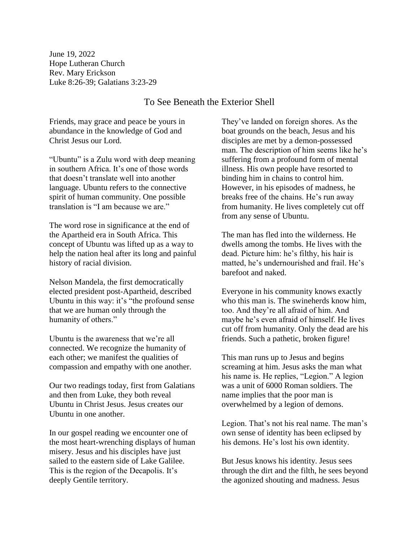June 19, 2022 Hope Lutheran Church Rev. Mary Erickson Luke 8:26-39; Galatians 3:23-29

## To See Beneath the Exterior Shell

Friends, may grace and peace be yours in abundance in the knowledge of God and Christ Jesus our Lord.

"Ubuntu" is a Zulu word with deep meaning in southern Africa. It's one of those words that doesn't translate well into another language. Ubuntu refers to the connective spirit of human community. One possible translation is "I am because we are."

The word rose in significance at the end of the Apartheid era in South Africa. This concept of Ubuntu was lifted up as a way to help the nation heal after its long and painful history of racial division.

Nelson Mandela, the first democratically elected president post-Apartheid, described Ubuntu in this way: it's "the profound sense that we are human only through the humanity of others."

Ubuntu is the awareness that we're all connected. We recognize the humanity of each other; we manifest the qualities of compassion and empathy with one another.

Our two readings today, first from Galatians and then from Luke, they both reveal Ubuntu in Christ Jesus. Jesus creates our Ubuntu in one another.

In our gospel reading we encounter one of the most heart-wrenching displays of human misery. Jesus and his disciples have just sailed to the eastern side of Lake Galilee. This is the region of the Decapolis. It's deeply Gentile territory.

They've landed on foreign shores. As the boat grounds on the beach, Jesus and his disciples are met by a demon-possessed man. The description of him seems like he's suffering from a profound form of mental illness. His own people have resorted to binding him in chains to control him. However, in his episodes of madness, he breaks free of the chains. He's run away from humanity. He lives completely cut off from any sense of Ubuntu.

The man has fled into the wilderness. He dwells among the tombs. He lives with the dead. Picture him: he's filthy, his hair is matted, he's undernourished and frail. He's barefoot and naked.

Everyone in his community knows exactly who this man is. The swineherds know him, too. And they're all afraid of him. And maybe he's even afraid of himself. He lives cut off from humanity. Only the dead are his friends. Such a pathetic, broken figure!

This man runs up to Jesus and begins screaming at him. Jesus asks the man what his name is. He replies, "Legion." A legion was a unit of 6000 Roman soldiers. The name implies that the poor man is overwhelmed by a legion of demons.

Legion. That's not his real name. The man's own sense of identity has been eclipsed by his demons. He's lost his own identity.

But Jesus knows his identity. Jesus sees through the dirt and the filth, he sees beyond the agonized shouting and madness. Jesus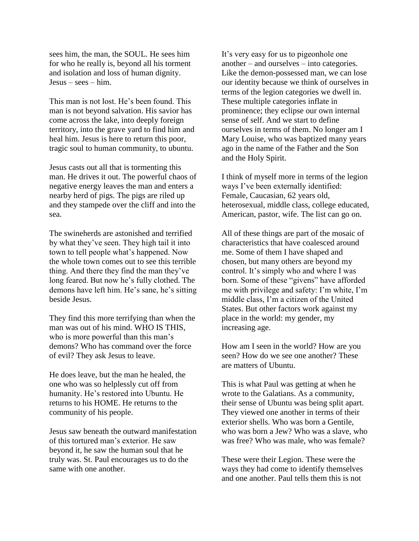sees him, the man, the SOUL. He sees him for who he really is, beyond all his torment and isolation and loss of human dignity. Jesus – sees – him.

This man is not lost. He's been found. This man is not beyond salvation. His savior has come across the lake, into deeply foreign territory, into the grave yard to find him and heal him. Jesus is here to return this poor, tragic soul to human community, to ubuntu.

Jesus casts out all that is tormenting this man. He drives it out. The powerful chaos of negative energy leaves the man and enters a nearby herd of pigs. The pigs are riled up and they stampede over the cliff and into the sea.

The swineherds are astonished and terrified by what they've seen. They high tail it into town to tell people what's happened. Now the whole town comes out to see this terrible thing. And there they find the man they've long feared. But now he's fully clothed. The demons have left him. He's sane, he's sitting beside Jesus.

They find this more terrifying than when the man was out of his mind. WHO IS THIS, who is more powerful than this man's demons? Who has command over the force of evil? They ask Jesus to leave.

He does leave, but the man he healed, the one who was so helplessly cut off from humanity. He's restored into Ubuntu. He returns to his HOME. He returns to the community of his people.

Jesus saw beneath the outward manifestation of this tortured man's exterior. He saw beyond it, he saw the human soul that he truly was. St. Paul encourages us to do the same with one another.

It's very easy for us to pigeonhole one another – and ourselves – into categories. Like the demon-possessed man, we can lose our identity because we think of ourselves in terms of the legion categories we dwell in. These multiple categories inflate in prominence; they eclipse our own internal sense of self. And we start to define ourselves in terms of them. No longer am I Mary Louise, who was baptized many years ago in the name of the Father and the Son and the Holy Spirit.

I think of myself more in terms of the legion ways I've been externally identified: Female, Caucasian, 62 years old, heterosexual, middle class, college educated, American, pastor, wife. The list can go on.

All of these things are part of the mosaic of characteristics that have coalesced around me. Some of them I have shaped and chosen, but many others are beyond my control. It's simply who and where I was born. Some of these "givens" have afforded me with privilege and safety: I'm white, I'm middle class, I'm a citizen of the United States. But other factors work against my place in the world: my gender, my increasing age.

How am I seen in the world? How are you seen? How do we see one another? These are matters of Ubuntu.

This is what Paul was getting at when he wrote to the Galatians. As a community, their sense of Ubuntu was being split apart. They viewed one another in terms of their exterior shells. Who was born a Gentile, who was born a Jew? Who was a slave, who was free? Who was male, who was female?

These were their Legion. These were the ways they had come to identify themselves and one another. Paul tells them this is not